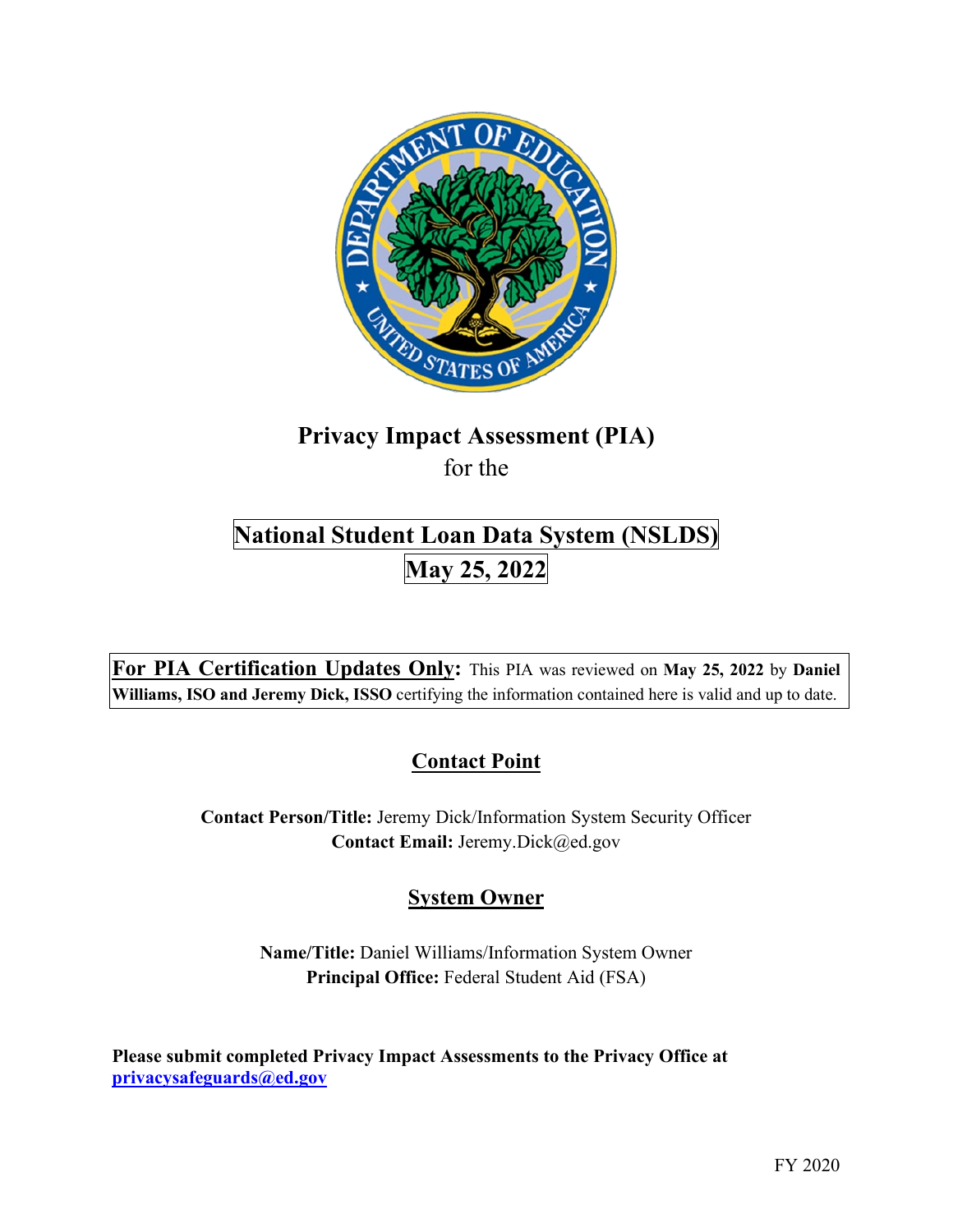

# **Privacy Impact Assessment (PIA)**  for the

# **National Student Loan Data System (NSLDS) May 25, 2022**

 **For PIA Certification Updates Only:** This PIA was reviewed on **May 25, 2022** by **Daniel Williams, ISO and Jeremy Dick, ISSO** certifying the information contained here is valid and up to date.

# **Contact Point**

**Contact Person/Title:** Jeremy Dick/Information System Security Officer **Contact Email:** [Jeremy.Dick@ed.gov](mailto:Jeremy.Dick@ed.gov) 

# **System Owner**

**Name/Title:** Daniel Williams/Information System Owner **Principal Office:** Federal Student Aid (FSA)

 **[privacysafeguards@ed.gov](mailto:privacysafeguards@ed.gov) Please submit completed Privacy Impact Assessments to the Privacy Office at**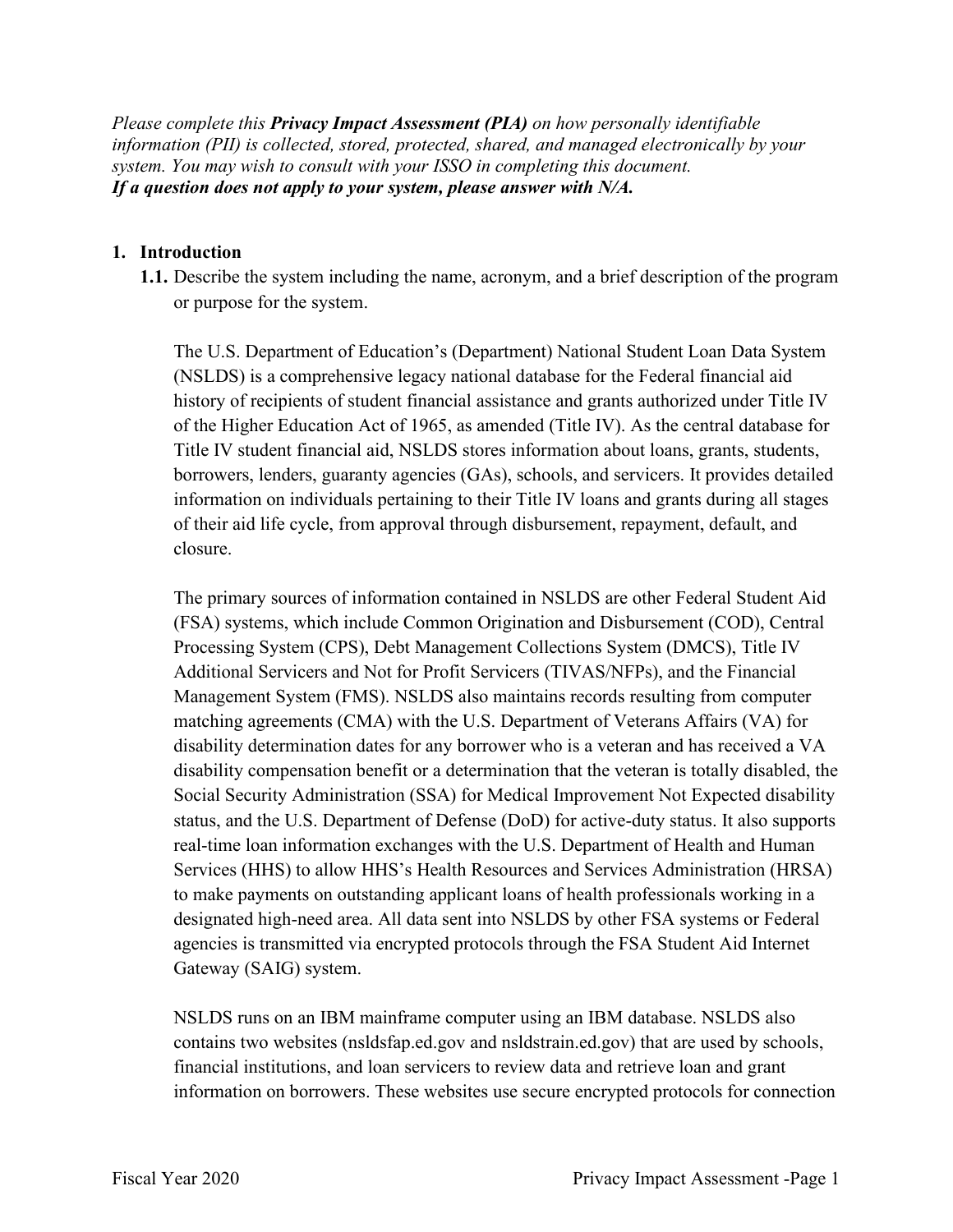*Please complete this Privacy Impact Assessment (PIA) on how personally identifiable information (PII) is collected, stored, protected, shared, and managed electronically by your system. You may wish to consult with your ISSO in completing this document. If a question does not apply to your system, please answer with N/A.* 

#### **1. Introduction**

**1.1.** Describe the system including the name, acronym, and a brief description of the program or purpose for the system.

 history of recipients of student financial assistance and grants authorized under Title IV of the Higher Education Act of 1965, as amended (Title IV). As the central database for The U.S. Department of Education's (Department) National Student Loan Data System (NSLDS) is a comprehensive legacy national database for the Federal financial aid Title IV student financial aid, NSLDS stores information about loans, grants, students, borrowers, lenders, guaranty agencies (GAs), schools, and servicers. It provides detailed information on individuals pertaining to their Title IV loans and grants during all stages of their aid life cycle, from approval through disbursement, repayment, default, and closure.

The primary sources of information contained in NSLDS are other Federal Student Aid (FSA) systems, which include Common Origination and Disbursement (COD), Central Processing System (CPS), Debt Management Collections System (DMCS), Title IV Additional Servicers and Not for Profit Servicers (TIVAS/NFPs), and the Financial Management System (FMS). NSLDS also maintains records resulting from computer matching agreements (CMA) with the U.S. Department of Veterans Affairs (VA) for disability determination dates for any borrower who is a veteran and has received a VA disability compensation benefit or a determination that the veteran is totally disabled, the Social Security Administration (SSA) for Medical Improvement Not Expected disability status, and the U.S. Department of Defense (DoD) for active-duty status. It also supports real-time loan information exchanges with the U.S. Department of Health and Human Services (HHS) to allow HHS's Health Resources and Services Administration (HRSA) to make payments on outstanding applicant loans of health professionals working in a designated high-need area. All data sent into NSLDS by other FSA systems or Federal agencies is transmitted via encrypted protocols through the FSA Student Aid Internet Gateway (SAIG) system.

NSLDS runs on an IBM mainframe computer using an IBM database. NSLDS also contains two websites ([nsldsfap.ed.gov](https://nsldsfap.ed.gov) and [nsldstrain.ed.gov\)](https://nsldstrain.ed.gov) that are used by schools, financial institutions, and loan servicers to review data and retrieve loan and grant information on borrowers. These websites use secure encrypted protocols for connection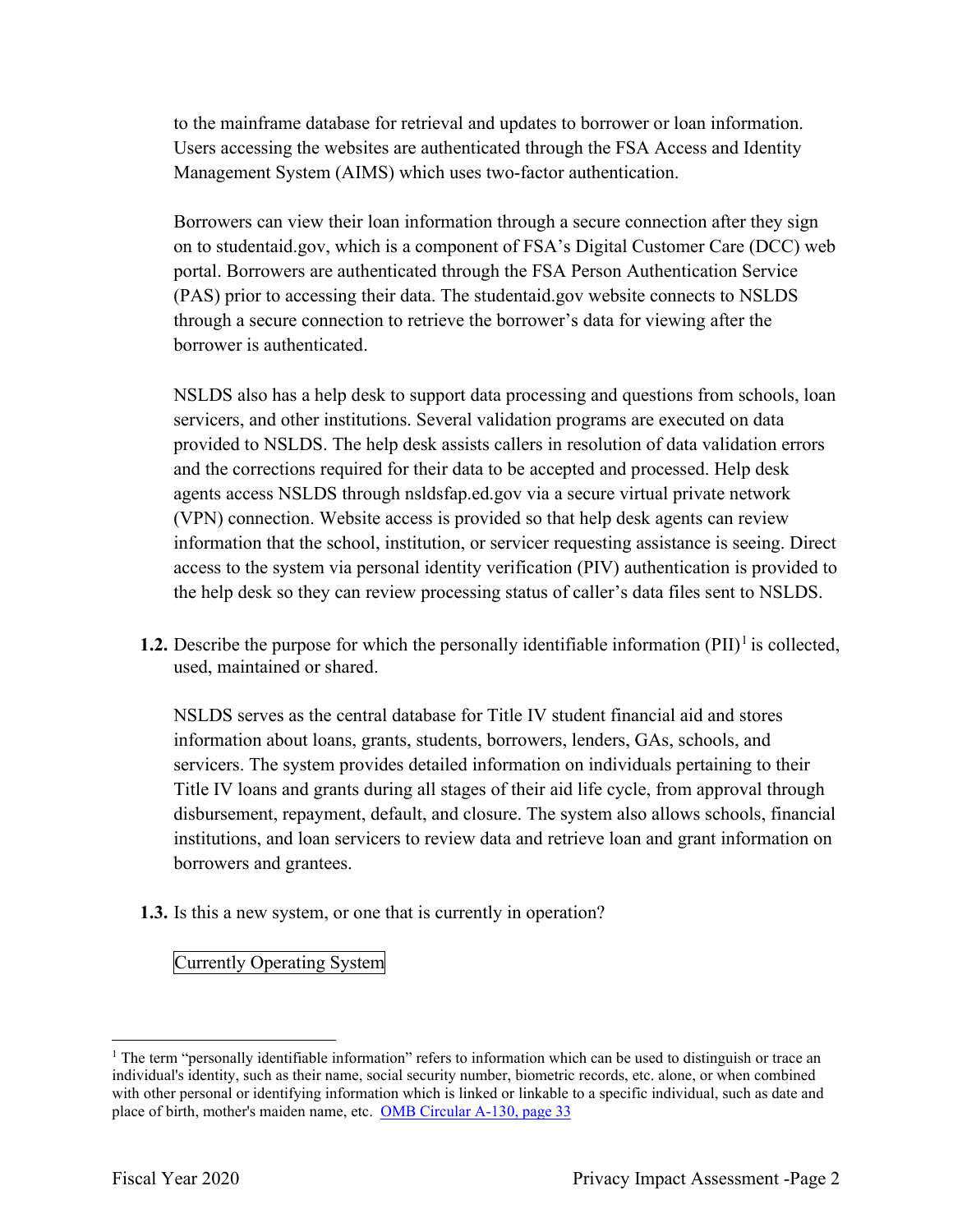to the mainframe database for retrieval and updates to borrower or loan information. Users accessing the websites are authenticated through the FSA Access and Identity Management System (AIMS) which uses two-factor authentication.

Borrowers can view their loan information through a secure connection after they sign on to [studentaid.gov](https://studentaid.gov), which is a component of FSA's Digital Customer Care (DCC) web portal. Borrowers are authenticated through the FSA Person Authentication Service (PAS) prior to accessing their data. The [studentaid.gov](https://studentaid.gov) website connects to NSLDS through a secure connection to retrieve the borrower's data for viewing after the borrower is authenticated.

 (VPN) connection. Website access is provided so that help desk agents can review NSLDS also has a help desk to support data processing and questions from schools, loan servicers, and other institutions. Several validation programs are executed on data provided to NSLDS. The help desk assists callers in resolution of data validation errors and the corrections required for their data to be accepted and processed. Help desk agents access NSLDS through [nsldsfap.ed.gov](https://nsldsfap.ed.gov) via a secure virtual private network information that the school, institution, or servicer requesting assistance is seeing. Direct access to the system via personal identity verification (PIV) authentication is provided to the help desk so they can review processing status of caller's data files sent to NSLDS.

**1.2.** Describe the purpose for which the personally identifiable information  $(PII)^{1}$  is collected, used, maintained or shared.

 NSLDS serves as the central database for Title IV student financial aid and stores information about loans, grants, students, borrowers, lenders, GAs, schools, and servicers. The system provides detailed information on individuals pertaining to their Title IV loans and grants during all stages of their aid life cycle, from approval through disbursement, repayment, default, and closure. The system also allows schools, financial institutions, and loan servicers to review data and retrieve loan and grant information on borrowers and grantees.

**1.3.** Is this a new system, or one that is currently in operation?

Currently Operating System

place of birth, mother's maiden name, etc. OMB Circular A-130, page 33 <sup>1</sup> The term "personally identifiable information" refers to information which can be used to distinguish or trace an individual's identity, such as their name, social security number, biometric records, etc. alone, or when combined with other personal or identifying information which is linked or linkable to a specific individual, such as date and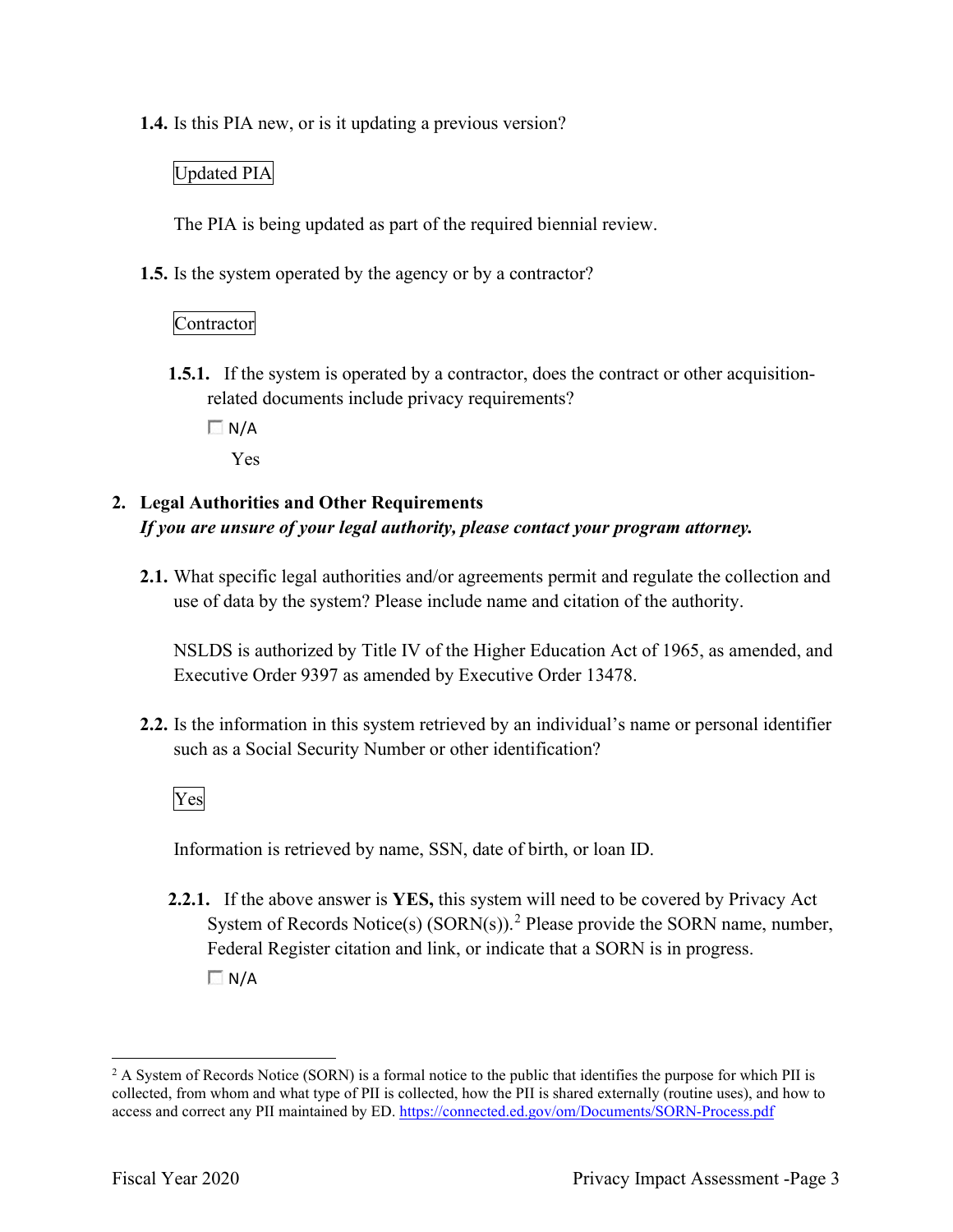**1.4.** Is this PIA new, or is it updating a previous version?

#### Updated PIA

The PIA is being updated as part of the required biennial review.

**1.5.** Is the system operated by the agency or by a contractor?

### Contractor

- **1.5.1.** If the system is operated by a contractor, does the contract or other acquisitionrelated documents include privacy requirements?
	- $\Box N/A$

Yes

# **2. Legal Authorities and Other Requirements**  *If you are unsure of your legal authority, please contact your program attorney.*

 **2.1.** What specific legal authorities and/or agreements permit and regulate the collection and use of data by the system? Please include name and citation of the authority.

NSLDS is authorized by Title IV of the Higher Education Act of 1965, as amended, and Executive Order 9397 as amended by Executive Order 13478.

such as a Social Security Number or other identification?<br>Ves **2.2.** Is the information in this system retrieved by an individual's name or personal identifier

Information is retrieved by name, SSN, date of birth, or loan ID.

**2.2.1.** If the above answer is **YES,** this system will need to be covered by Privacy Act System of Records Notice(s)  $(SORN(s))$ .<sup>2</sup> Please provide the SORN name, number, Federal Register citation and link, or indicate that a SORN is in progress.  $\Box N/A$ 

access and correct any PII maintained by ED. https://connected.ed.gov/om/Documents/SORN-Process.pdf<br>Fiscal Year 2020 Privacy Impact Assessment -Page 3  $2$  A System of Records Notice (SORN) is a formal notice to the public that identifies the purpose for which PII is collected, from whom and what type of PII is collected, how the PII is shared externally (routine uses), and how to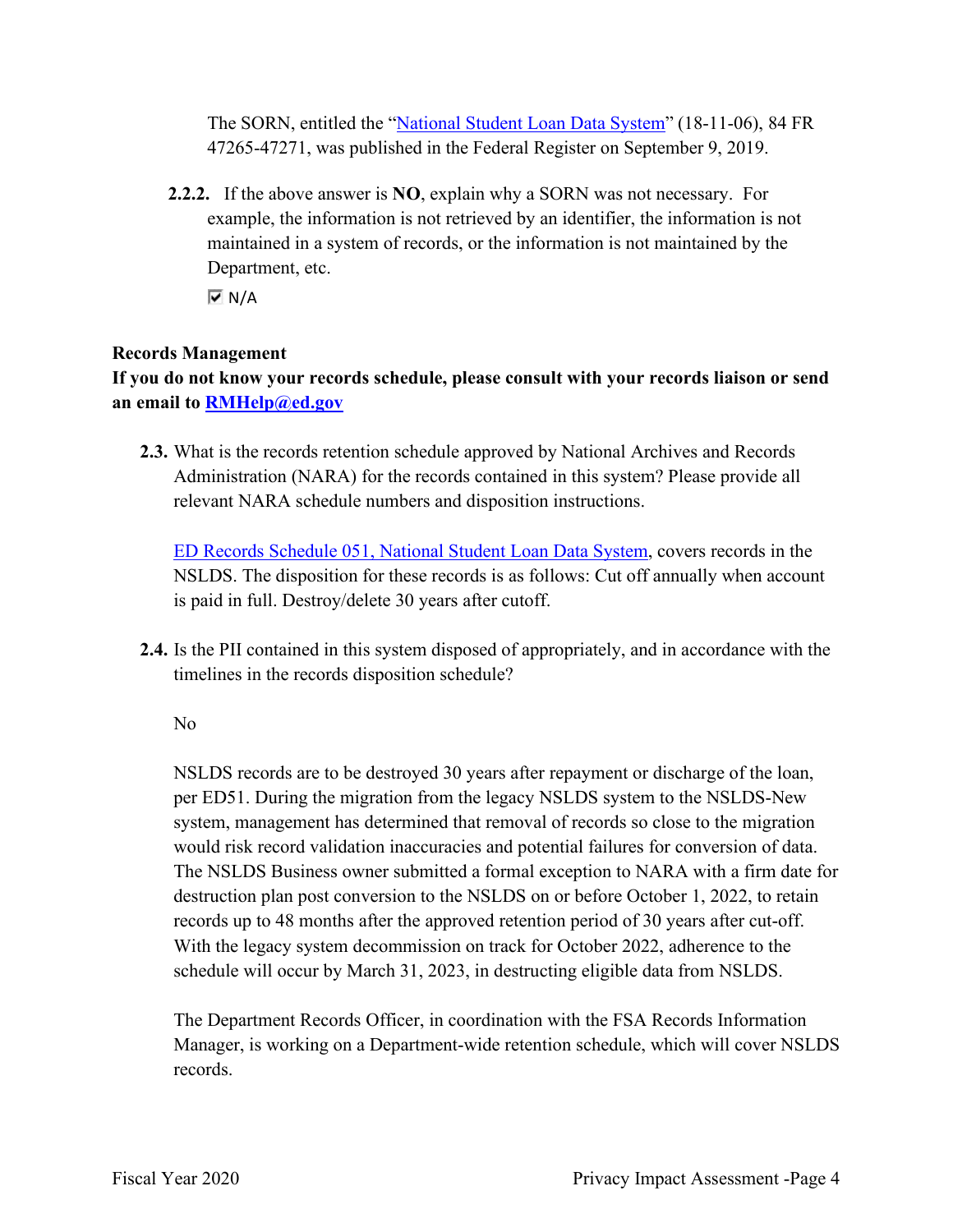47265-47271, was published in the Federal Register on September 9, 2019. The SORN, entitled the "National Student Loan Data System" (18-11-06), 84 FR

 **2.2.2.** If the above answer is **NO**, explain why a SORN was not necessary. For Department, etc. example, the information is not retrieved by an identifier, the information is not maintained in a system of records, or the information is not maintained by the

 $\overline{M}$  N/A

#### **Records Management**

**If you do not know your records schedule, please consult with your records liaison or send an email to [RMHelp@ed.gov](mailto:RMHelp@ed.gov)** 

 **2.3.** What is the records retention schedule approved by National Archives and Records Administration (NARA) for the records contained in this system? Please provide all relevant NARA schedule numbers and disposition instructions.

 is paid in full. Destroy/delete 30 years after cutoff. ED Records Schedule 051, National Student Loan Data System, covers records in the NSLDS. The disposition for these records is as follows: Cut off annually when account

**2.4.** Is the PII contained in this system disposed of appropriately, and in accordance with the timelines in the records disposition schedule?

No

 records up to 48 months after the approved retention period of 30 years after cut-off. NSLDS records are to be destroyed 30 years after repayment or discharge of the loan, per ED51. During the migration from the legacy NSLDS system to the NSLDS-New system, management has determined that removal of records so close to the migration would risk record validation inaccuracies and potential failures for conversion of data. The NSLDS Business owner submitted a formal exception to NARA with a firm date for destruction plan post conversion to the NSLDS on or before October 1, 2022, to retain With the legacy system decommission on track for October 2022, adherence to the schedule will occur by March 31, 2023, in destructing eligible data from NSLDS.

 Manager, is working on a Department-wide retention schedule, which will cover NSLDS The Department Records Officer, in coordination with the FSA Records Information records.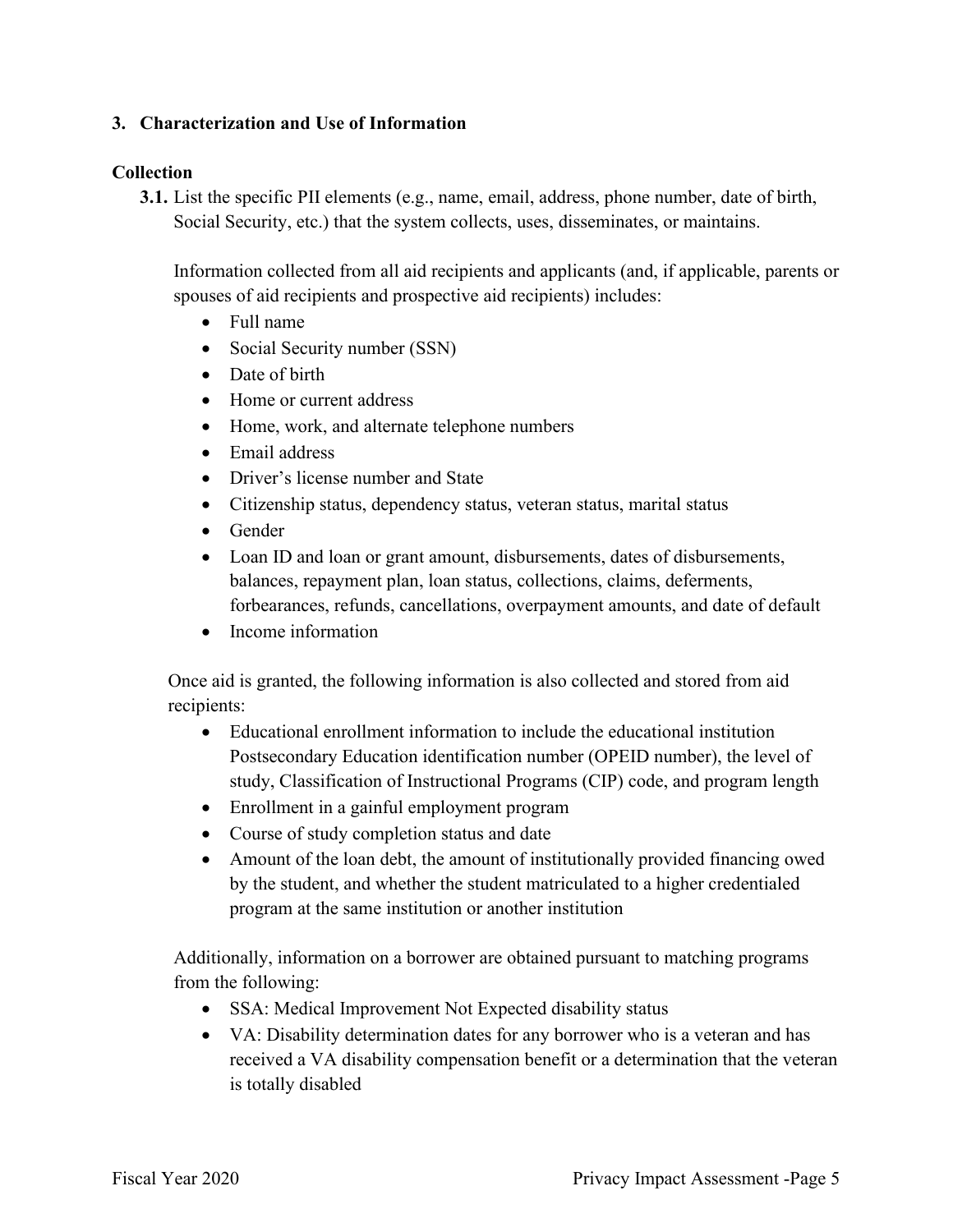#### **3. Characterization and Use of Information**

#### **Collection**

**3.1.** List the specific PII elements (e.g., name, email, address, phone number, date of birth, Social Security, etc.) that the system collects, uses, disseminates, or maintains.

Information collected from all aid recipients and applicants (and, if applicable, parents or spouses of aid recipients and prospective aid recipients) includes:

- Full name
- Social Security number (SSN)
- Date of birth
- Home or current address
- Home, work, and alternate telephone numbers
- Email address
- Driver's license number and State
- Citizenship status, dependency status, veteran status, marital status
- Gender
- Loan ID and loan or grant amount, disbursements, dates of disbursements, balances, repayment plan, loan status, collections, claims, deferments, forbearances, refunds, cancellations, overpayment amounts, and date of default
- Income information

Once aid is granted, the following information is also collected and stored from aid recipients:

- Educational enrollment information to include the educational institution Postsecondary Education identification number (OPEID number), the level of study, Classification of Instructional Programs (CIP) code, and program length
- Enrollment in a gainful employment program
- Course of study completion status and date
- Amount of the loan debt, the amount of institutionally provided financing owed by the student, and whether the student matriculated to a higher credentialed program at the same institution or another institution

Additionally, information on a borrower are obtained pursuant to matching programs from the following:

- SSA: Medical Improvement Not Expected disability status
- VA: Disability determination dates for any borrower who is a veteran and has received a VA disability compensation benefit or a determination that the veteran is totally disabled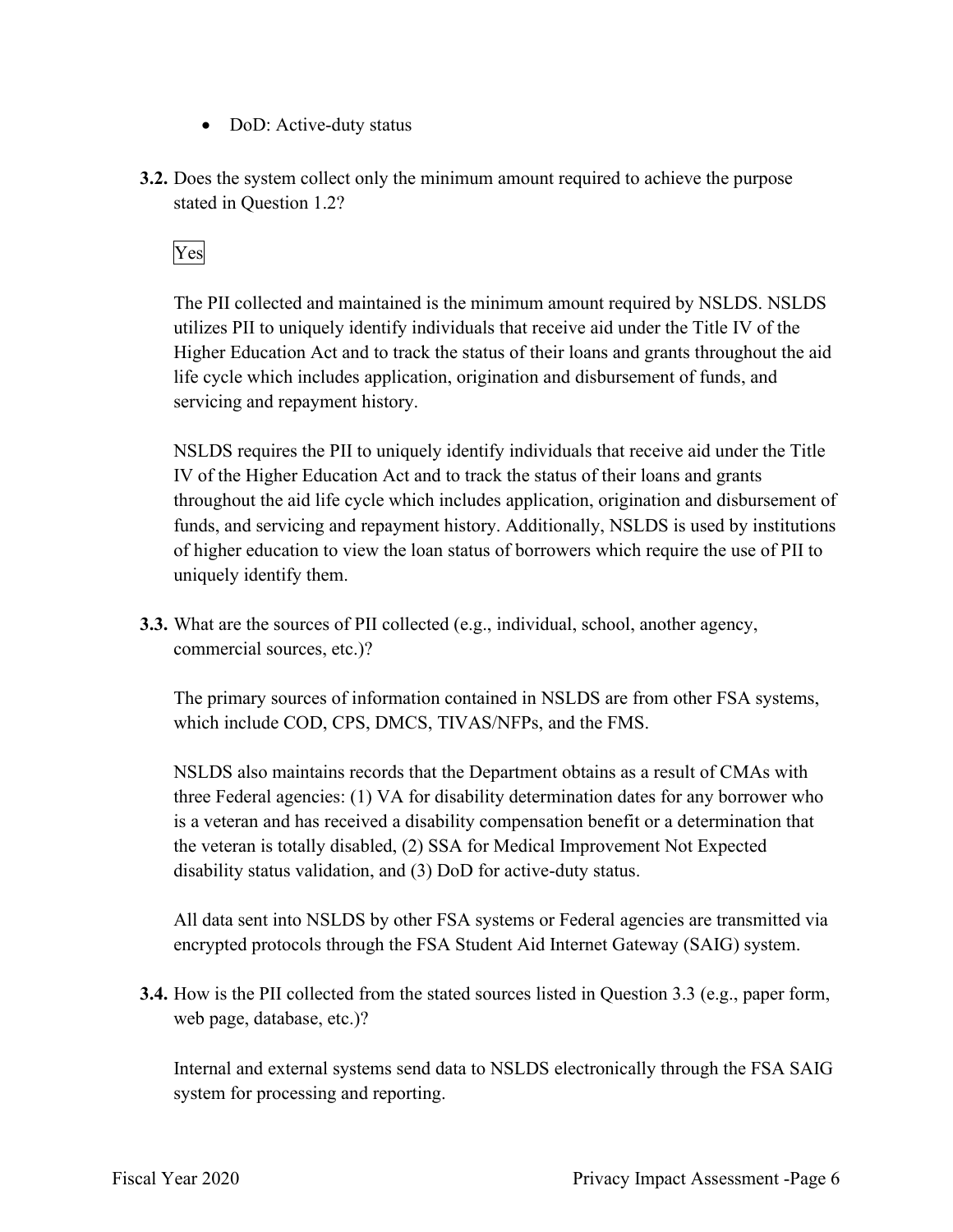- DoD: Active-duty status
- stated in Question 1.2?<br>Yes **3.2.** Does the system collect only the minimum amount required to achieve the purpose

 utilizes PII to uniquely identify individuals that receive aid under the Title IV of the The PII collected and maintained is the minimum amount required by NSLDS. NSLDS Higher Education Act and to track the status of their loans and grants throughout the aid life cycle which includes application, origination and disbursement of funds, and servicing and repayment history.

NSLDS requires the PII to uniquely identify individuals that receive aid under the Title IV of the Higher Education Act and to track the status of their loans and grants throughout the aid life cycle which includes application, origination and disbursement of funds, and servicing and repayment history. Additionally, NSLDS is used by institutions of higher education to view the loan status of borrowers which require the use of PII to uniquely identify them.

**3.3.** What are the sources of PII collected (e.g., individual, school, another agency, commercial sources, etc.)?

The primary sources of information contained in NSLDS are from other FSA systems, which include COD, CPS, DMCS, TIVAS/NFPs, and the FMS.

NSLDS also maintains records that the Department obtains as a result of CMAs with three Federal agencies: (1) VA for disability determination dates for any borrower who is a veteran and has received a disability compensation benefit or a determination that the veteran is totally disabled, (2) SSA for Medical Improvement Not Expected disability status validation, and (3) DoD for active-duty status.

 encrypted protocols through the FSA Student Aid Internet Gateway (SAIG) system. All data sent into NSLDS by other FSA systems or Federal agencies are transmitted via

**3.4.** How is the PII collected from the stated sources listed in Question 3.3 (e.g., paper form, web page, database, etc.)?

Internal and external systems send data to NSLDS electronically through the FSA SAIG system for processing and reporting.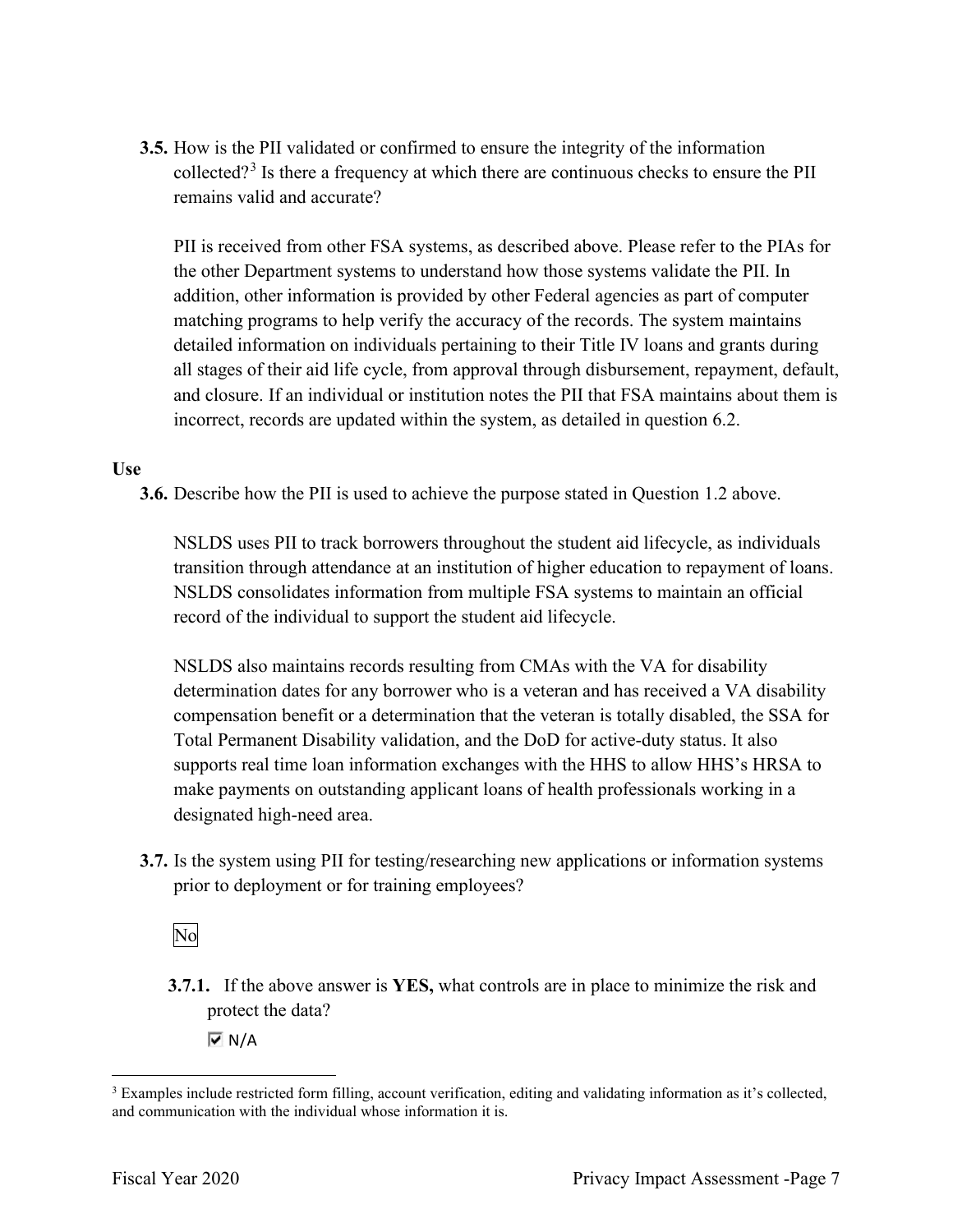**3.5.** How is the PII validated or confirmed to ensure the integrity of the information collected?<sup>3</sup> Is there a frequency at which there are continuous checks to ensure the PII remains valid and accurate?

 PII is received from other FSA systems, as described above. Please refer to the PIAs for matching programs to help verify the accuracy of the records. The system maintains the other Department systems to understand how those systems validate the PII. In addition, other information is provided by other Federal agencies as part of computer detailed information on individuals pertaining to their Title IV loans and grants during all stages of their aid life cycle, from approval through disbursement, repayment, default, and closure. If an individual or institution notes the PII that FSA maintains about them is incorrect, records are updated within the system, as detailed in question 6.2.

#### **Use**

**3.6.** Describe how the PII is used to achieve the purpose stated in Question 1.2 above.

NSLDS uses PII to track borrowers throughout the student aid lifecycle, as individuals transition through attendance at an institution of higher education to repayment of loans. NSLDS consolidates information from multiple FSA systems to maintain an official record of the individual to support the student aid lifecycle.

NSLDS also maintains records resulting from CMAs with the VA for disability determination dates for any borrower who is a veteran and has received a VA disability compensation benefit or a determination that the veteran is totally disabled, the SSA for Total Permanent Disability validation, and the DoD for active-duty status. It also supports real time loan information exchanges with the HHS to allow HHS's HRSA to make payments on outstanding applicant loans of health professionals working in a designated high-need area.

prior to deployment or for training employees?<br>No **3.7.** Is the system using PII for testing/researching new applications or information systems

**3.7.1.** If the above answer is **YES,** what controls are in place to minimize the risk and protect the data?

 $\overline{M}$  N/A

and communication with the individual whose information it is. <sup>3</sup> Examples include restricted form filling, account verification, editing and validating information as it's collected, and communication with the individual whose information it is.<br>Fiscal Year 2020 Privacy Impact Assessment -Page 7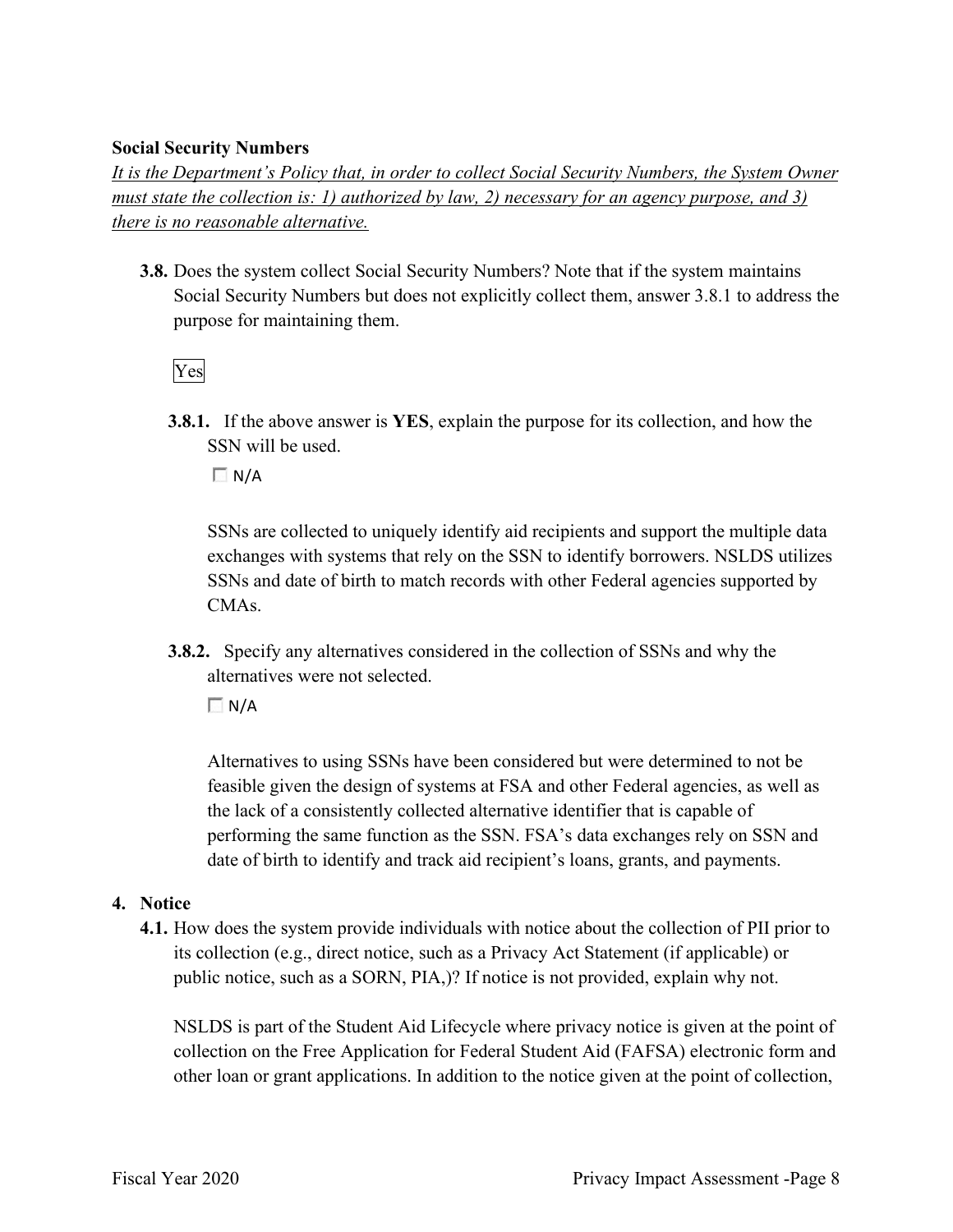#### **Social Security Numbers**

*It is the Department's Policy that, in order to collect Social Security Numbers, the System Owner must state the collection is: 1) authorized by law, 2) necessary for an agency purpose, and 3) there is no reasonable alternative.* 

 **3.8.** Does the system collect Social Security Numbers? Note that if the system maintains Social Security Numbers but does not explicitly collect them, answer 3.8.1 to address the purpose for maintaining them.

Yes

**3.8.1.** If the above answer is **YES**, explain the purpose for its collection, and how the SSN will be used.

 $\Box$  N/A

SSNs are collected to uniquely identify aid recipients and support the multiple data exchanges with systems that rely on the SSN to identify borrowers. NSLDS utilizes SSNs and date of birth to match records with other Federal agencies supported by CMAs.

**3.8.2.** Specify any alternatives considered in the collection of SSNs and why the alternatives were not selected.

 $\Box$  N/A

 feasible given the design of systems at FSA and other Federal agencies, as well as Alternatives to using SSNs have been considered but were determined to not be the lack of a consistently collected alternative identifier that is capable of performing the same function as the SSN. FSA's data exchanges rely on SSN and date of birth to identify and track aid recipient's loans, grants, and payments.

#### **4. Notice**

 public notice, such as a SORN, PIA,)? If notice is not provided, explain why not. **4.1.** How does the system provide individuals with notice about the collection of PII prior to its collection (e.g., direct notice, such as a Privacy Act Statement (if applicable) or

NSLDS is part of the Student Aid Lifecycle where privacy notice is given at the point of collection on the Free Application for Federal Student Aid (FAFSA) electronic form and other loan or grant applications. In addition to the notice given at the point of collection,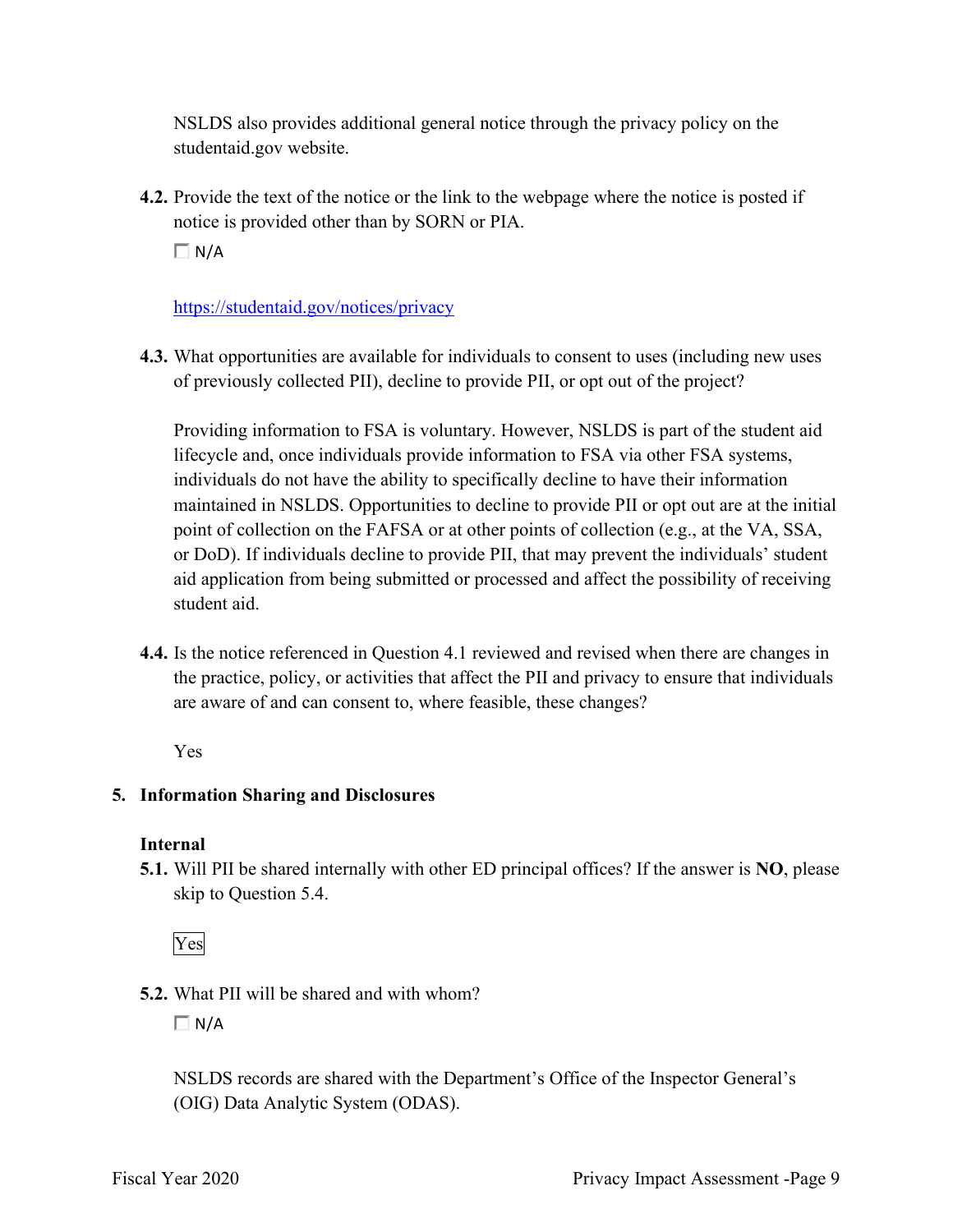NSLDS also provides additional general notice through the privacy policy on the [studentaid.gov](https://studentaid.gov) website.

**4.2.** Provide the text of the notice or the link to the webpage where the notice is posted if notice is provided other than by SORN or PIA.

 $\Box$  N/A

#### <https://studentaid.gov/notices/privacy>

**4.3.** What opportunities are available for individuals to consent to uses (including new uses of previously collected PII), decline to provide PII, or opt out of the project?

Providing information to FSA is voluntary. However, NSLDS is part of the student aid lifecycle and, once individuals provide information to FSA via other FSA systems, individuals do not have the ability to specifically decline to have their information maintained in NSLDS. Opportunities to decline to provide PII or opt out are at the initial point of collection on the FAFSA or at other points of collection (e.g., at the VA, SSA, or DoD). If individuals decline to provide PII, that may prevent the individuals' student aid application from being submitted or processed and affect the possibility of receiving student aid.

 are aware of and can consent to, where feasible, these changes? **4.4.** Is the notice referenced in Question 4.1 reviewed and revised when there are changes in the practice, policy, or activities that affect the PII and privacy to ensure that individuals

Yes

### **5. Information Sharing and Disclosures**

### **Internal**

 **5.1.** Will PII be shared internally with other ED principal offices? If the answer is **NO**, please skip to Question 5.4.

Yes

**5.2.** What PII will be shared and with whom?

 $\Box N/A$ 

NSLDS records are shared with the Department's Office of the Inspector General's (OIG) Data Analytic System (ODAS).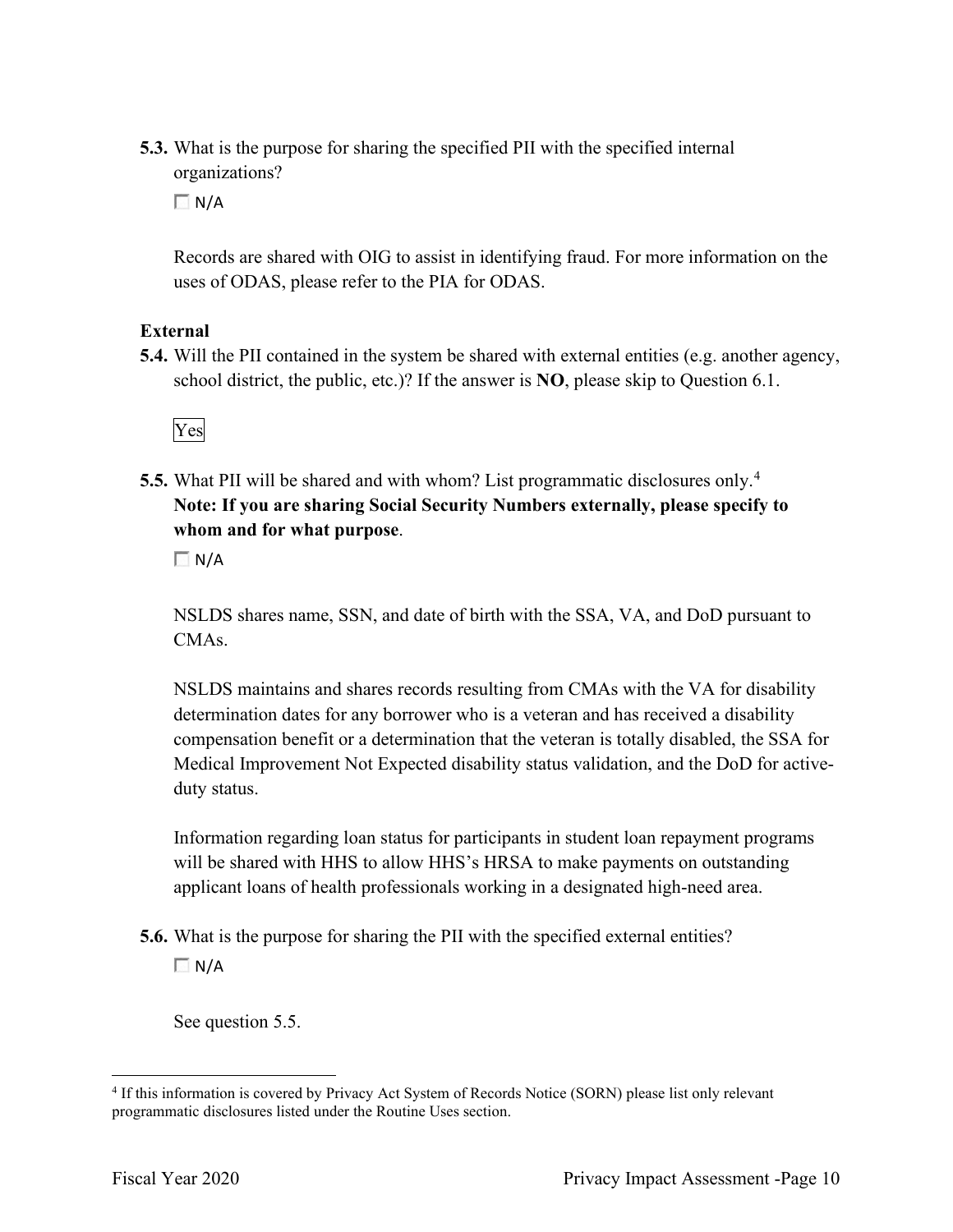organizations? **5.3.** What is the purpose for sharing the specified PII with the specified internal

 $\Box N/A$ 

Records are shared with OIG to assist in identifying fraud. For more information on the uses of ODAS, please refer to the PIA for ODAS.

#### **External**

**5.4.** Will the PII contained in the system be shared with external entities (e.g. another agency, school district, the public, etc.)? If the answer is **NO**, please skip to Question 6.1.



**5.5.** What PII will be shared and with whom? List programmatic disclosures only.<sup>4</sup> **Note: If you are sharing Social Security Numbers externally, please specify to whom and for what purpose**.

 $\Box$  N/A

CMA<sub>s</sub>. NSLDS shares name, SSN, and date of birth with the SSA, VA, and DoD pursuant to

NSLDS maintains and shares records resulting from CMAs with the VA for disability determination dates for any borrower who is a veteran and has received a disability compensation benefit or a determination that the veteran is totally disabled, the SSA for Medical Improvement Not Expected disability status validation, and the DoD for activeduty status.

Information regarding loan status for participants in student loan repayment programs will be shared with HHS to allow HHS's HRSA to make payments on outstanding applicant loans of health professionals working in a designated high-need area.

**5.6.** What is the purpose for sharing the PII with the specified external entities?  $\Box$  N/A

See question 5.5.

<sup>4</sup> If this information is covered by Privacy Act System of Records Notice (SORN) please list only relevant programmatic disclosures listed under the Routine Uses section.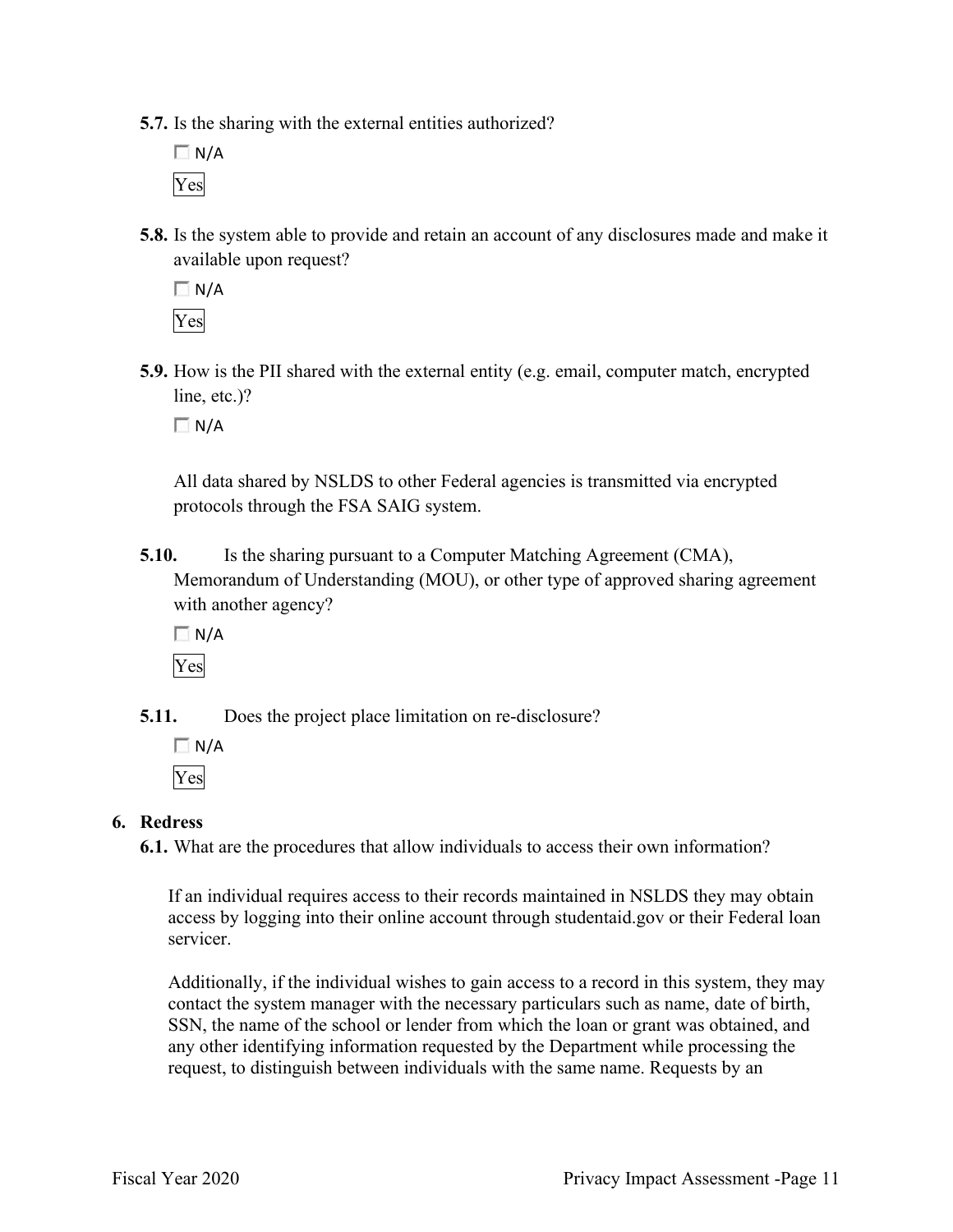- **5.7.** Is the sharing with the external entities authorized?
	- $\Box$  N/A Yes
- **5.8.** Is the system able to provide and retain an account of any disclosures made and make it available upon request?

 $\Box N/A$ Yes

 **5.9.** How is the PII shared with the external entity (e.g. email, computer match, encrypted line, etc.)?

 $\Box$  N/A

All data shared by NSLDS to other Federal agencies is transmitted via encrypted protocols through the FSA SAIG system.

- **5.10.** Is the sharing pursuant to a Computer Matching Agreement (CMA), Memorandum of Understanding (MOU), or other type of approved sharing agreement with another agency?
	- $\Box$  N/A Yes

**5.11.** Does the project place limitation on re-disclosure?

 $\Box N/A$ Yes

#### **6. Redress**

**6.1.** What are the procedures that allow individuals to access their own information?

If an individual requires access to their records maintained in NSLDS they may obtain access by logging into their online account through [studentaid.gov](https://studentaid.gov) or their Federal loan servicer.

Additionally, if the individual wishes to gain access to a record in this system, they may contact the system manager with the necessary particulars such as name, date of birth, SSN, the name of the school or lender from which the loan or grant was obtained, and any other identifying information requested by the Department while processing the request, to distinguish between individuals with the same name. Requests by an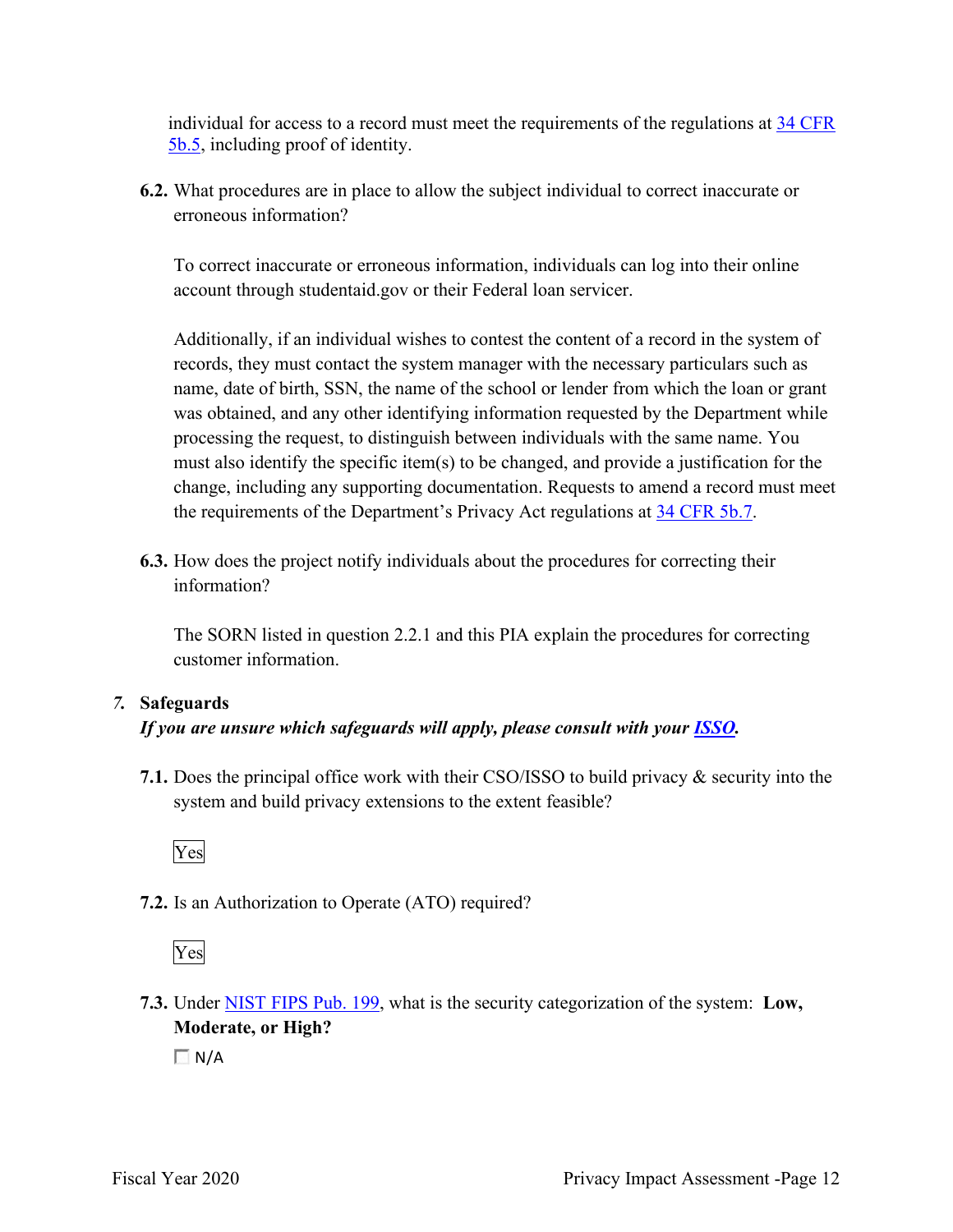individual for access to a record must meet the requirements of the regulations at 34 CFR 5b.5, including proof of identity.

**6.2.** What procedures are in place to allow the subject individual to correct inaccurate or erroneous information?

To correct inaccurate or erroneous information, individuals can log into their online account through [studentaid.gov](https://studentaid.gov) or their Federal loan servicer.

Additionally, if an individual wishes to contest the content of a record in the system of records, they must contact the system manager with the necessary particulars such as name, date of birth, SSN, the name of the school or lender from which the loan or grant was obtained, and any other identifying information requested by the Department while processing the request, to distinguish between individuals with the same name. You must also identify the specific item(s) to be changed, and provide a justification for the change, including any supporting documentation. Requests to amend a record must meet the requirements of the Department's Privacy Act regulations at 34 CFR 5b.7.

**6.3.** How does the project notify individuals about the procedures for correcting their information?

The SORN listed in question 2.2.1 and this PIA explain the procedures for correcting customer information.

#### *7.* **Safeguards**

#### *If you are unsure which safeguards will apply, please consult with your ISSO.*

 system and build privacy extensions to the extent feasible? **7.1.** Does the principal office work with their CSO/ISSO to build privacy & security into the



**7.2.** Is an Authorization to Operate (ATO) required?

Yes

**7.3.** Under NIST FIPS Pub. 199, what is the security categorization of the system: **Low, Moderate, or High?** 

 $\Box N/A$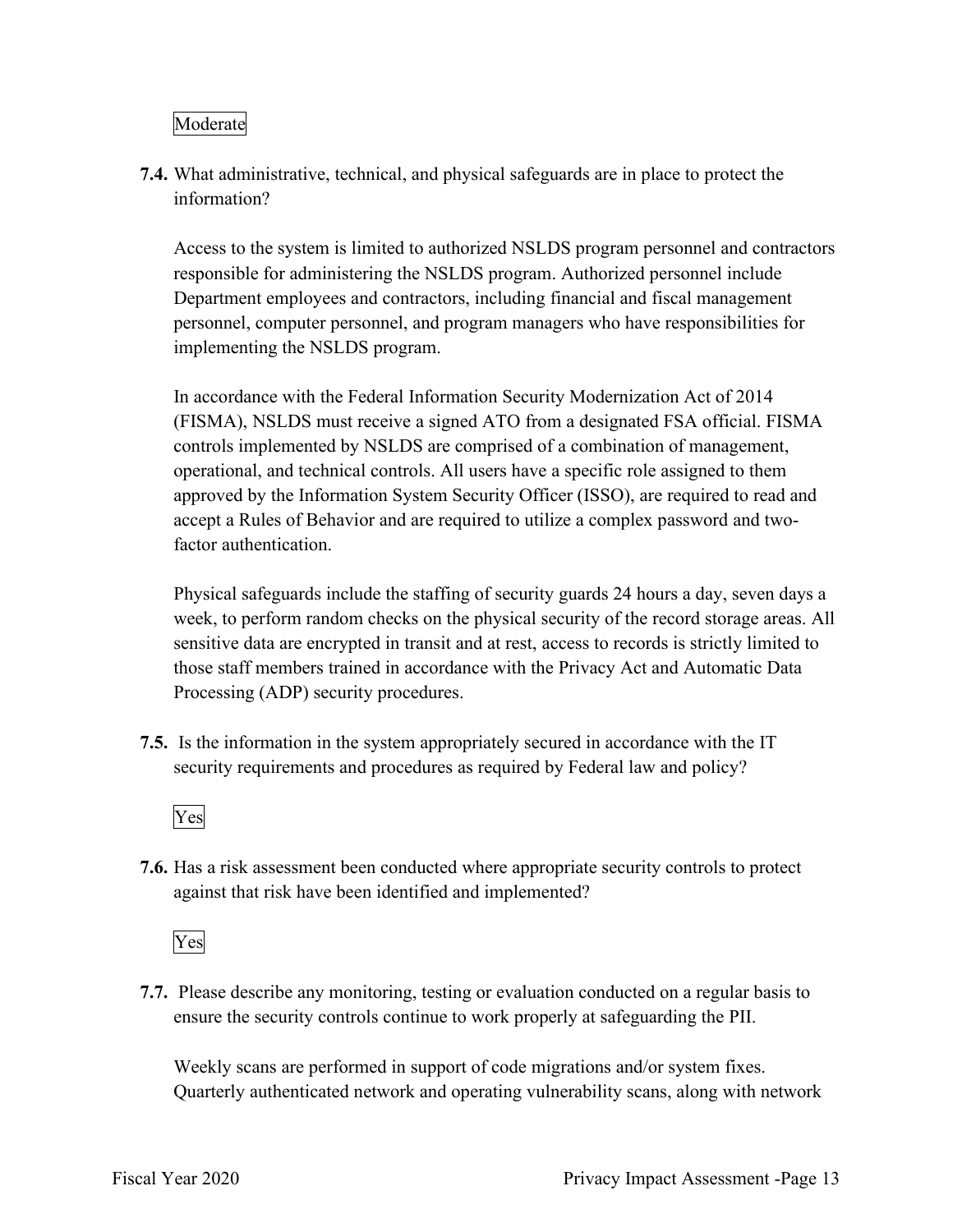#### Moderate

**7.4.** What administrative, technical, and physical safeguards are in place to protect the information?

Access to the system is limited to authorized NSLDS program personnel and contractors responsible for administering the NSLDS program. Authorized personnel include Department employees and contractors, including financial and fiscal management personnel, computer personnel, and program managers who have responsibilities for implementing the NSLDS program.

 In accordance with the Federal Information Security Modernization Act of 2014 operational, and technical controls. All users have a specific role assigned to them (FISMA), NSLDS must receive a signed ATO from a designated FSA official. FISMA controls implemented by NSLDS are comprised of a combination of management, approved by the Information System Security Officer (ISSO), are required to read and accept a Rules of Behavior and are required to utilize a complex password and twofactor authentication.

Physical safeguards include the staffing of security guards 24 hours a day, seven days a week, to perform random checks on the physical security of the record storage areas. All sensitive data are encrypted in transit and at rest, access to records is strictly limited to those staff members trained in accordance with the Privacy Act and Automatic Data Processing (ADP) security procedures.

 **7.5.** Is the information in the system appropriately secured in accordance with the IT security requirements and procedures as required by Federal law and policy?



**7.6.** Has a risk assessment been conducted where appropriate security controls to protect against that risk have been identified and implemented?

Yes

 ensure the security controls continue to work properly at safeguarding the PII. **7.7.** Please describe any monitoring, testing or evaluation conducted on a regular basis to

Weekly scans are performed in support of code migrations and/or system fixes. Quarterly authenticated network and operating vulnerability scans, along with network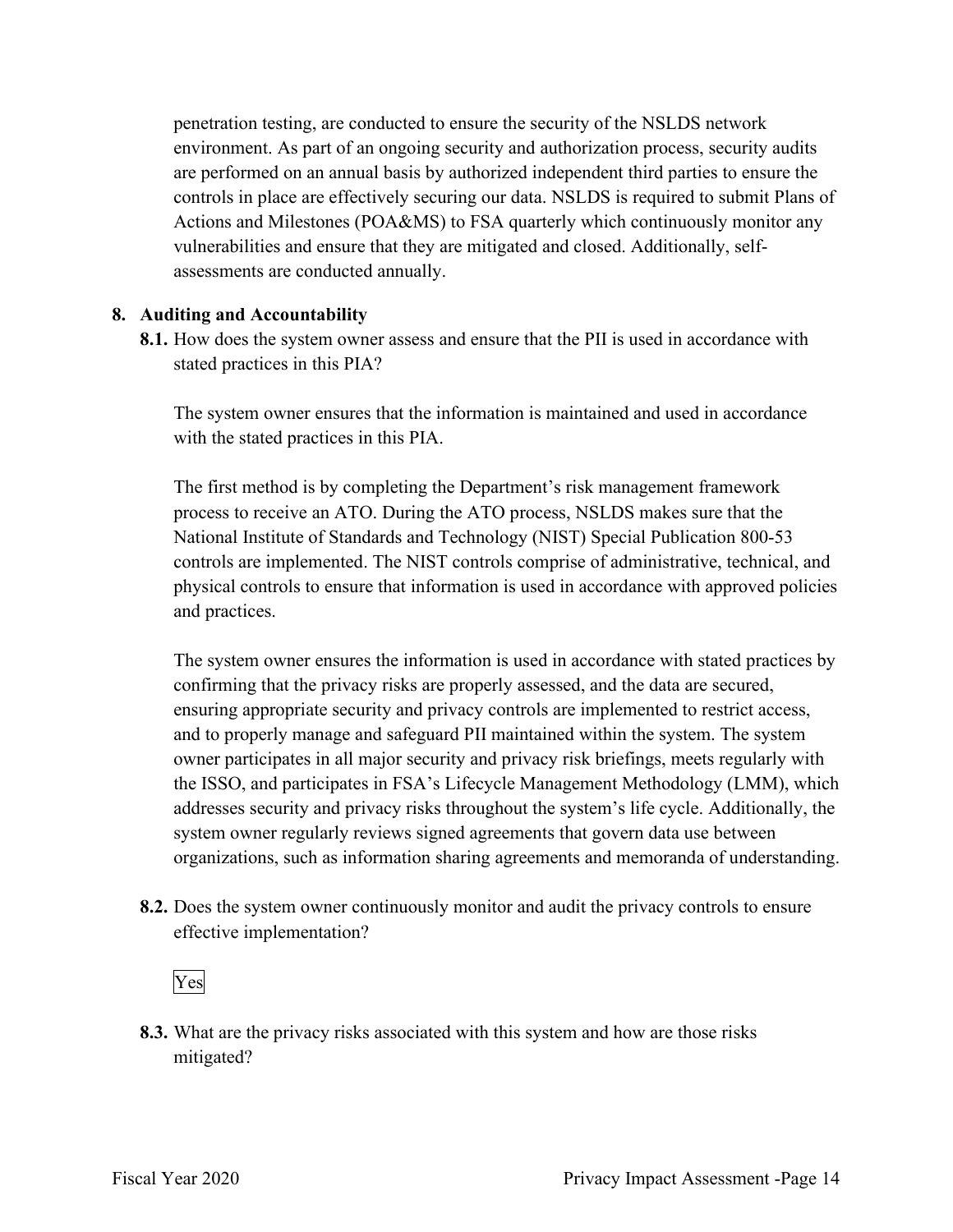penetration testing, are conducted to ensure the security of the NSLDS network environment. As part of an ongoing security and authorization process, security audits are performed on an annual basis by authorized independent third parties to ensure the controls in place are effectively securing our data. NSLDS is required to submit Plans of Actions and Milestones (POA&MS) to FSA quarterly which continuously monitor any vulnerabilities and ensure that they are mitigated and closed. Additionally, selfassessments are conducted annually.

#### **8. Auditing and Accountability**

 **8.1.** How does the system owner assess and ensure that the PII is used in accordance with stated practices in this PIA?

The system owner ensures that the information is maintained and used in accordance with the stated practices in this PIA.

The first method is by completing the Department's risk management framework process to receive an ATO. During the ATO process, NSLDS makes sure that the National Institute of Standards and Technology (NIST) Special Publication 800-53 controls are implemented. The NIST controls comprise of administrative, technical, and physical controls to ensure that information is used in accordance with approved policies and practices.

The system owner ensures the information is used in accordance with stated practices by confirming that the privacy risks are properly assessed, and the data are secured, ensuring appropriate security and privacy controls are implemented to restrict access, and to properly manage and safeguard PII maintained within the system. The system owner participates in all major security and privacy risk briefings, meets regularly with the ISSO, and participates in FSA's Lifecycle Management Methodology (LMM), which addresses security and privacy risks throughout the system's life cycle. Additionally, the system owner regularly reviews signed agreements that govern data use between organizations, such as information sharing agreements and memoranda of understanding.

**8.2.** Does the system owner continuously monitor and audit the privacy controls to ensure effective implementation?

# Yes

 mitigated? **8.3.** What are the privacy risks associated with this system and how are those risks